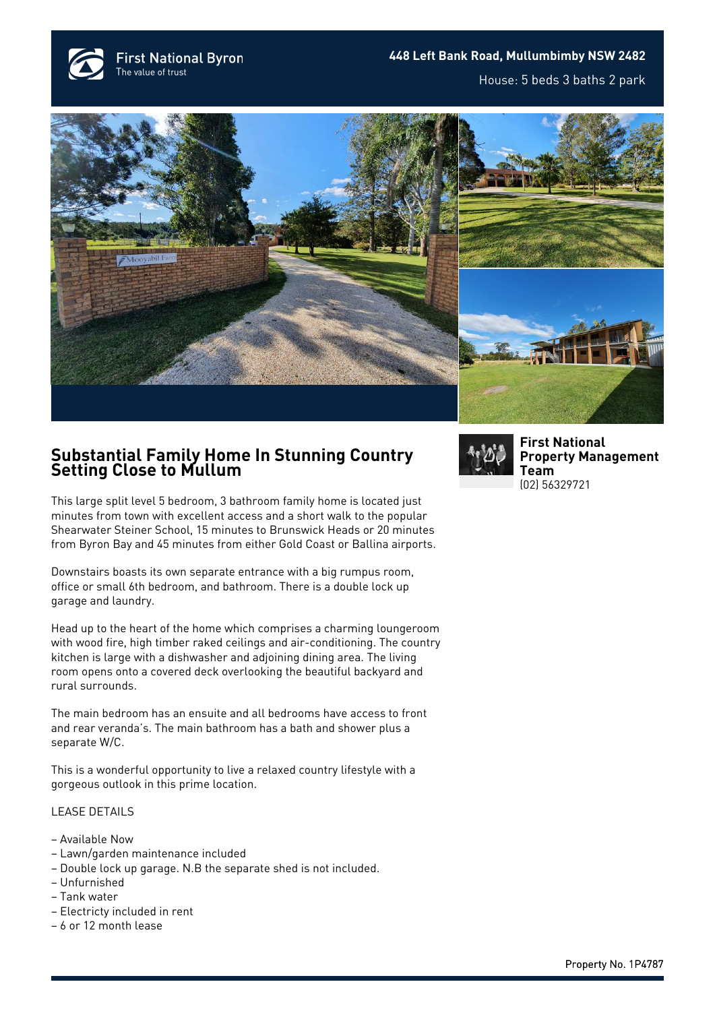





## **Substantial Family Home In Stunning Country Setting Close to Mullum**

This large split level 5 bedroom, 3 bathroom family home is located just minutes from town with excellent access and a short walk to the popular Shearwater Steiner School, 15 minutes to Brunswick Heads or 20 minutes from Byron Bay and 45 minutes from either Gold Coast or Ballina airports.

Downstairs boasts its own separate entrance with a big rumpus room, office or small 6th bedroom, and bathroom. There is a double lock up garage and laundry.

Head up to the heart of the home which comprises a charming loungeroom with wood fire, high timber raked ceilings and air-conditioning. The country kitchen is large with a dishwasher and adjoining dining area. The living room opens onto a covered deck overlooking the beautiful backyard and rural surrounds.

The main bedroom has an ensuite and all bedrooms have access to front and rear veranda's. The main bathroom has a bath and shower plus a separate W/C.

This is a wonderful opportunity to live a relaxed country lifestyle with a gorgeous outlook in this prime location.

## LEASE DETAILS

- Available Now
- Lawn/garden maintenance included
- Double lock up garage. N.B the separate shed is not included.
- Unfurnished
- Tank water
- Electricty included in rent
- 6 or 12 month lease



**[First National](https://www.byronbayfn.com.au/agents/first-national-property-management-team/) [Property Management](https://www.byronbayfn.com.au/agents/first-national-property-management-team/) [Team](https://www.byronbayfn.com.au/agents/first-national-property-management-team/)** [\(02\) 56329721](#page--1-0)